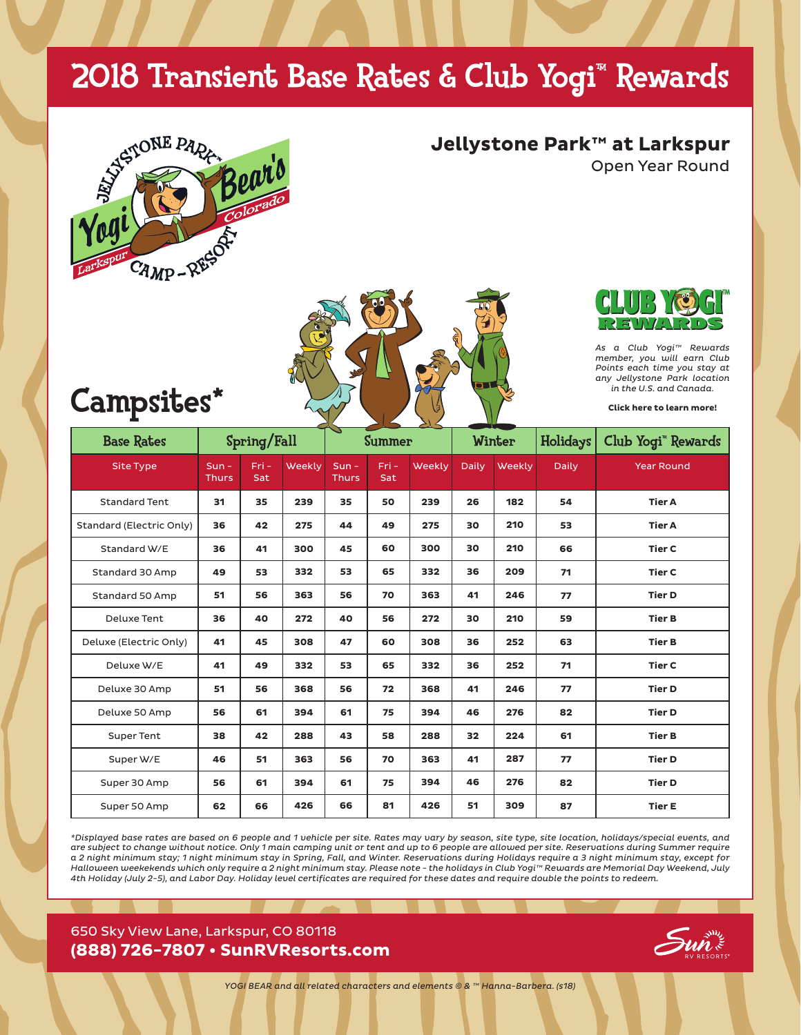## 2018 Transient Base Rates & Club Yogi™ Rewards



**Jellystone Park™ at Larkspur**

Open Year Round



## Campsites\*

*As a Club Yogi™ Rewards member, you will earn Club Points each time you stay at any Jellystone Park location in the U.S. and Canada.*

**[Click here to learn more!](https://www.jellystonerewards.com/yogi_app/welcome.php)**

| <b>Base Rates</b>        | Spring/Fall             |                |        | $\tilde{\phantom{a}}$<br><b>Summer</b> |             |        | Winter       |        | Holidays     | Club Yogi <sup>*</sup> Rewards |
|--------------------------|-------------------------|----------------|--------|----------------------------------------|-------------|--------|--------------|--------|--------------|--------------------------------|
| <b>Site Type</b>         | $Sun -$<br><b>Thurs</b> | $Fri -$<br>Sat | Weekly | $Sun -$<br><b>Thurs</b>                | Fri-<br>Sat | Weekly | <b>Daily</b> | Weekly | <b>Daily</b> | <b>Year Round</b>              |
| <b>Standard Tent</b>     | 31                      | 35             | 239    | 35                                     | 50          | 239    | 26           | 182    | 54           | <b>Tier A</b>                  |
| Standard (Electric Only) | 36                      | 42             | 275    | 44                                     | 49          | 275    | 30           | 210    | 53           | <b>Tier A</b>                  |
| Standard W/E             | 36                      | 41             | 300    | 45                                     | 60          | 300    | 30           | 210    | 66           | <b>Tier C</b>                  |
| Standard 30 Amp          | 49                      | 53             | 332    | 53                                     | 65          | 332    | 36           | 209    | 71           | <b>Tier C</b>                  |
| Standard 50 Amp          | 51                      | 56             | 363    | 56                                     | 70          | 363    | 41           | 246    | 77           | <b>Tier D</b>                  |
| Deluxe Tent              | 36                      | 40             | 272    | 40                                     | 56          | 272    | 30           | 210    | 59           | <b>Tier B</b>                  |
| Deluxe (Electric Only)   | 41                      | 45             | 308    | 47                                     | 60          | 308    | 36           | 252    | 63           | <b>Tier B</b>                  |
| Deluxe W/E               | 41                      | 49             | 332    | 53                                     | 65          | 332    | 36           | 252    | 71           | <b>Tier C</b>                  |
| Deluxe 30 Amp            | 51                      | 56             | 368    | 56                                     | 72          | 368    | 41           | 246    | 77           | <b>Tier D</b>                  |
| Deluxe 50 Amp            | 56                      | 61             | 394    | 61                                     | 75          | 394    | 46           | 276    | 82           | <b>Tier D</b>                  |
| <b>Super Tent</b>        | 38                      | 42             | 288    | 43                                     | 58          | 288    | 32           | 224    | 61           | <b>Tier B</b>                  |
| Super W/E                | 46                      | 51             | 363    | 56                                     | 70          | 363    | 41           | 287    | 77           | <b>Tier D</b>                  |
| Super 30 Amp             | 56                      | 61             | 394    | 61                                     | 75          | 394    | 46           | 276    | 82           | <b>Tier D</b>                  |
| Super 50 Amp             | 62                      | 66             | 426    | 66                                     | 81          | 426    | 51           | 309    | 87           | <b>Tier E</b>                  |

*\*Displayed base rates are based on 6 people and 1 vehicle per site. Rates may vary by season, site type, site location, holidays/special events, and are subject to change without notice. Only 1 main camping unit or tent and up to 6 people are allowed per site. Reservations during Summer require a 2 night minimum stay; 1 night minimum stay in Spring, Fall, and Winter. Reservations during Holidays require a 3 night minimum stay, except for Halloween weekekends which only require a 2 night minimum stay. Please note - the holidays in Club Yogi™ Rewards are Memorial Day Weekend, July 4th Holiday (July 2-5), and Labor Day. Holiday level certificates are required for these dates and require double the points to redeem.*

#### 650 Sky View Lane, Larkspur, CO 80118 **(888) 726-7807 • SunRVResorts.com**



*YOGI BEAR and all related characters and elements © & ™ Hanna-Barbera. (s18)*